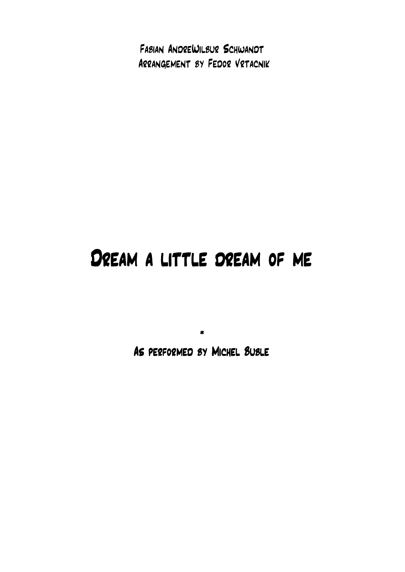Fabian AndreWilbur Schwandt Arrangement by Fedor Vrtacnik

## Dream a little dream of me

\* As performed by Michel Buble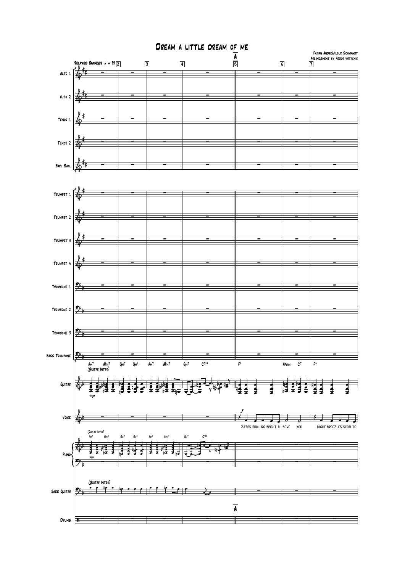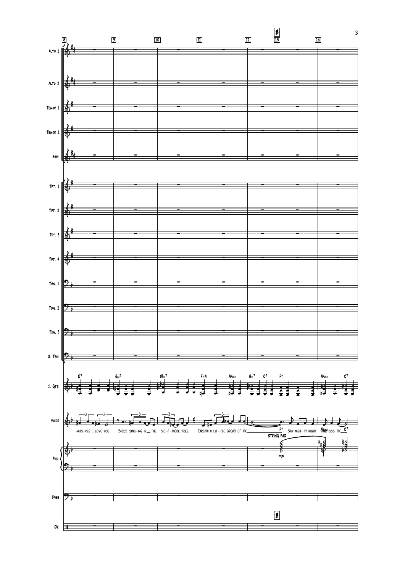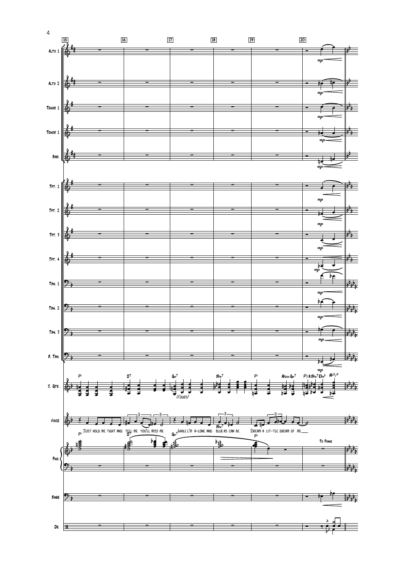